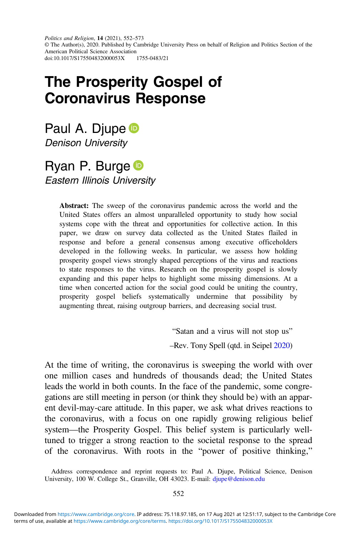Politics and Religion, 14 (2021), 552–573 © The Author(s), 2020. Published by Cambridge University Press on behalf of Religion and Politics Section of the American Political Science Association<br>doi:10.1017/S175504832000053X 1755-0483/21 doi:10.1017/S175504832000053X 1755-0483/21

# The Prosperity Gospel of Coronavirus Response

**Denison University** 

# Eastern Illinois University

Abstract: The sweep of the coronavirus pandemic across the world and the United States offers an almost unparalleled opportunity to study how social systems cope with the threat and opportunities for collective action. In this paper, we draw on survey data collected as the United States flailed in response and before a general consensus among executive officeholders developed in the following weeks. In particular, we assess how holding prosperity gospel views strongly shaped perceptions of the virus and reactions to state responses to the virus. Research on the prosperity gospel is slowly expanding and this paper helps to highlight some missing dimensions. At a time when concerted action for the social good could be uniting the country, prosperity gospel beliefs systematically undermine that possibility by augmenting threat, raising outgroup barriers, and decreasing social trust.

> "Satan and a virus will not stop us" –Rev. Tony Spell (qtd. in Seipel [2020\)](#page-20-0)

At the time of writing, the coronavirus is sweeping the world with over one million cases and hundreds of thousands dead; the United States leads the world in both counts. In the face of the pandemic, some congregations are still meeting in person (or think they should be) with an apparent devil-may-care attitude. In this paper, we ask what drives reactions to the coronavirus, with a focus on one rapidly growing religious belief system—the Prosperity Gospel. This belief system is particularly welltuned to trigger a strong reaction to the societal response to the spread of the coronavirus. With roots in the "power of positive thinking,"

Address correspondence and reprint requests to: Paul A. Djupe, Political Science, Denison University, 100 W. College St., Granville, OH 43023. E-mail: [djupe@denison.edu](mailto:djupe@denison.edu)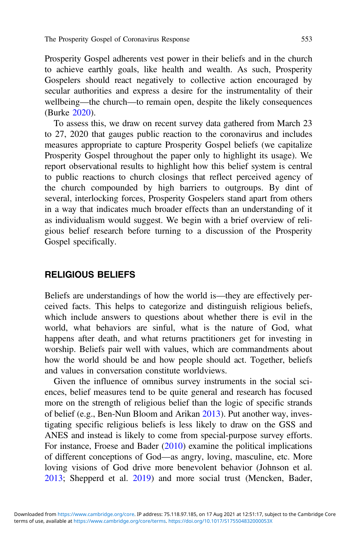Prosperity Gospel adherents vest power in their beliefs and in the church to achieve earthly goals, like health and wealth. As such, Prosperity Gospelers should react negatively to collective action encouraged by secular authorities and express a desire for the instrumentality of their wellbeing—the church—to remain open, despite the likely consequences (Burke [2020\)](#page-18-0).

To assess this, we draw on recent survey data gathered from March 23 to 27, 2020 that gauges public reaction to the coronavirus and includes measures appropriate to capture Prosperity Gospel beliefs (we capitalize Prosperity Gospel throughout the paper only to highlight its usage). We report observational results to highlight how this belief system is central to public reactions to church closings that reflect perceived agency of the church compounded by high barriers to outgroups. By dint of several, interlocking forces, Prosperity Gospelers stand apart from others in a way that indicates much broader effects than an understanding of it as individualism would suggest. We begin with a brief overview of religious belief research before turning to a discussion of the Prosperity Gospel specifically.

#### RELIGIOUS BELIEFS

Beliefs are understandings of how the world is—they are effectively perceived facts. This helps to categorize and distinguish religious beliefs, which include answers to questions about whether there is evil in the world, what behaviors are sinful, what is the nature of God, what happens after death, and what returns practitioners get for investing in worship. Beliefs pair well with values, which are commandments about how the world should be and how people should act. Together, beliefs and values in conversation constitute worldviews.

Given the influence of omnibus survey instruments in the social sciences, belief measures tend to be quite general and research has focused more on the strength of religious belief than the logic of specific strands of belief (e.g., Ben-Nun Bloom and Arikan [2013\)](#page-18-0). Put another way, investigating specific religious beliefs is less likely to draw on the GSS and ANES and instead is likely to come from special-purpose survey efforts. For instance, Froese and Bader [\(2010](#page-19-0)) examine the political implications of different conceptions of God—as angry, loving, masculine, etc. More loving visions of God drive more benevolent behavior (Johnson et al. [2013](#page-19-0); Shepperd et al. [2019\)](#page-21-0) and more social trust (Mencken, Bader,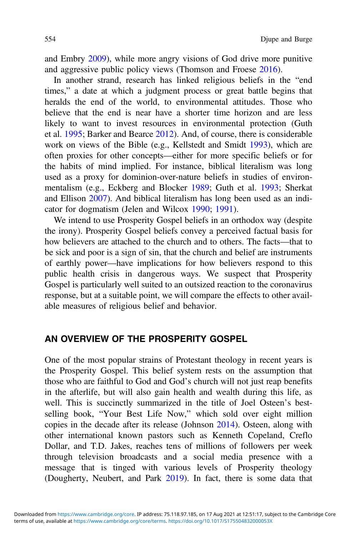and Embry [2009\)](#page-20-0), while more angry visions of God drive more punitive and aggressive public policy views (Thomson and Froese [2016\)](#page-21-0).

In another strand, research has linked religious beliefs in the "end times," a date at which a judgment process or great battle begins that heralds the end of the world, to environmental attitudes. Those who believe that the end is near have a shorter time horizon and are less likely to want to invest resources in environmental protection (Guth et al. [1995;](#page-19-0) Barker and Bearce [2012](#page-18-0)). And, of course, there is considerable work on views of the Bible (e.g., Kellstedt and Smidt [1993\)](#page-20-0), which are often proxies for other concepts—either for more specific beliefs or for the habits of mind implied. For instance, biblical literalism was long used as a proxy for dominion-over-nature beliefs in studies of environmentalism (e.g., Eckberg and Blocker [1989](#page-19-0); Guth et al. [1993](#page-19-0); Sherkat and Ellison [2007\)](#page-21-0). And biblical literalism has long been used as an indicator for dogmatism (Jelen and Wilcox [1990;](#page-19-0) [1991](#page-19-0)).

We intend to use Prosperity Gospel beliefs in an orthodox way (despite the irony). Prosperity Gospel beliefs convey a perceived factual basis for how believers are attached to the church and to others. The facts—that to be sick and poor is a sign of sin, that the church and belief are instruments of earthly power—have implications for how believers respond to this public health crisis in dangerous ways. We suspect that Prosperity Gospel is particularly well suited to an outsized reaction to the coronavirus response, but at a suitable point, we will compare the effects to other available measures of religious belief and behavior.

# AN OVERVIEW OF THE PROSPERITY GOSPEL

One of the most popular strains of Protestant theology in recent years is the Prosperity Gospel. This belief system rests on the assumption that those who are faithful to God and God's church will not just reap benefits in the afterlife, but will also gain health and wealth during this life, as well. This is succinctly summarized in the title of Joel Osteen's bestselling book, "Your Best Life Now," which sold over eight million copies in the decade after its release (Johnson [2014](#page-19-0)). Osteen, along with other international known pastors such as Kenneth Copeland, Creflo Dollar, and T.D. Jakes, reaches tens of millions of followers per week through television broadcasts and a social media presence with a message that is tinged with various levels of Prosperity theology (Dougherty, Neubert, and Park [2019\)](#page-19-0). In fact, there is some data that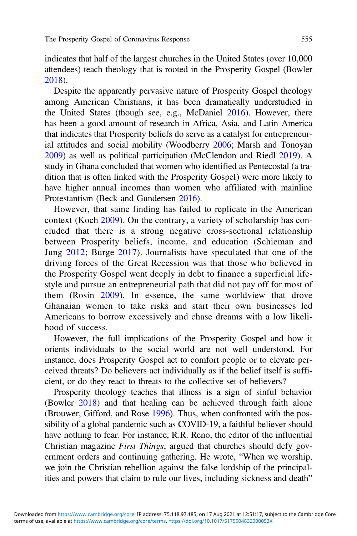indicates that half of the largest churches in the United States (over 10,000 attendees) teach theology that is rooted in the Prosperity Gospel (Bowler [2018](#page-18-0)).

Despite the apparently pervasive nature of Prosperity Gospel theology among American Christians, it has been dramatically understudied in the United States (though see, e.g., McDaniel [2016\)](#page-20-0). However, there has been a good amount of research in Africa, Asia, and Latin America that indicates that Prosperity beliefs do serve as a catalyst for entrepreneurial attitudes and social mobility (Woodberry [2006;](#page-21-0) Marsh and Tonoyan [2009](#page-20-0)) as well as political participation (McClendon and Riedl [2019\)](#page-20-0). A study in Ghana concluded that women who identified as Pentecostal (a tradition that is often linked with the Prosperity Gospel) were more likely to have higher annual incomes than women who affiliated with mainline Protestantism (Beck and Gundersen [2016](#page-18-0)).

However, that same finding has failed to replicate in the American context (Koch [2009\)](#page-20-0). On the contrary, a variety of scholarship has concluded that there is a strong negative cross-sectional relationship between Prosperity beliefs, income, and education (Schieman and Jung [2012;](#page-20-0) Burge [2017\)](#page-18-0). Journalists have speculated that one of the driving forces of the Great Recession was that those who believed in the Prosperity Gospel went deeply in debt to finance a superficial lifestyle and pursue an entrepreneurial path that did not pay off for most of them (Rosin [2009\)](#page-20-0). In essence, the same worldview that drove Ghanaian women to take risks and start their own businesses led Americans to borrow excessively and chase dreams with a low likelihood of success.

However, the full implications of the Prosperity Gospel and how it orients individuals to the social world are not well understood. For instance, does Prosperity Gospel act to comfort people or to elevate perceived threats? Do believers act individually as if the belief itself is sufficient, or do they react to threats to the collective set of believers?

Prosperity theology teaches that illness is a sign of sinful behavior (Bowler [2018](#page-18-0)) and that healing can be achieved through faith alone (Brouwer, Gifford, and Rose [1996\)](#page-18-0). Thus, when confronted with the possibility of a global pandemic such as COVID-19, a faithful believer should have nothing to fear. For instance, R.R. Reno, the editor of the influential Christian magazine First Things, argued that churches should defy government orders and continuing gathering. He wrote, "When we worship, we join the Christian rebellion against the false lordship of the principalities and powers that claim to rule our lives, including sickness and death"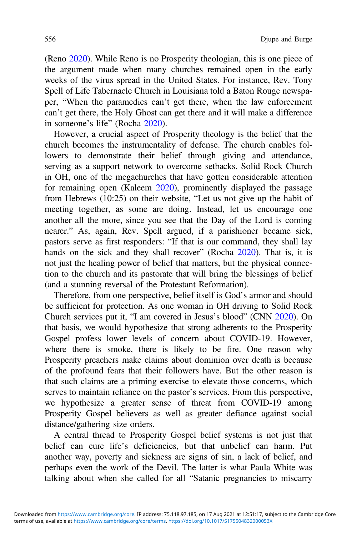(Reno [2020\)](#page-20-0). While Reno is no Prosperity theologian, this is one piece of the argument made when many churches remained open in the early weeks of the virus spread in the United States. For instance, Rev. Tony Spell of Life Tabernacle Church in Louisiana told a Baton Rouge newspaper, "When the paramedics can't get there, when the law enforcement can't get there, the Holy Ghost can get there and it will make a difference in someone's life" (Rocha [2020](#page-20-0)).

However, a crucial aspect of Prosperity theology is the belief that the church becomes the instrumentality of defense. The church enables followers to demonstrate their belief through giving and attendance, serving as a support network to overcome setbacks. Solid Rock Church in OH, one of the megachurches that have gotten considerable attention for remaining open (Kaleem [2020\)](#page-20-0), prominently displayed the passage from Hebrews (10:25) on their website, "Let us not give up the habit of meeting together, as some are doing. Instead, let us encourage one another all the more, since you see that the Day of the Lord is coming nearer." As, again, Rev. Spell argued, if a parishioner became sick, pastors serve as first responders: "If that is our command, they shall lay hands on the sick and they shall recover" (Rocha [2020](#page-20-0)). That is, it is not just the healing power of belief that matters, but the physical connection to the church and its pastorate that will bring the blessings of belief (and a stunning reversal of the Protestant Reformation).

Therefore, from one perspective, belief itself is God's armor and should be sufficient for protection. As one woman in OH driving to Solid Rock Church services put it, "I am covered in Jesus's blood" (CNN [2020\)](#page-18-0). On that basis, we would hypothesize that strong adherents to the Prosperity Gospel profess lower levels of concern about COVID-19. However, where there is smoke, there is likely to be fire. One reason why Prosperity preachers make claims about dominion over death is because of the profound fears that their followers have. But the other reason is that such claims are a priming exercise to elevate those concerns, which serves to maintain reliance on the pastor's services. From this perspective, we hypothesize a greater sense of threat from COVID-19 among Prosperity Gospel believers as well as greater defiance against social distance/gathering size orders.

A central thread to Prosperity Gospel belief systems is not just that belief can cure life's deficiencies, but that unbelief can harm. Put another way, poverty and sickness are signs of sin, a lack of belief, and perhaps even the work of the Devil. The latter is what Paula White was talking about when she called for all "Satanic pregnancies to miscarry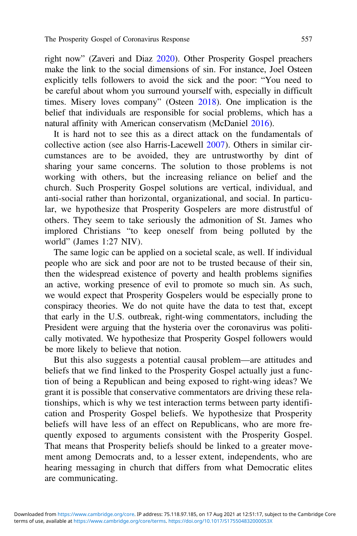right now" (Zaveri and Diaz [2020](#page-21-0)). Other Prosperity Gospel preachers make the link to the social dimensions of sin. For instance, Joel Osteen explicitly tells followers to avoid the sick and the poor: "You need to be careful about whom you surround yourself with, especially in difficult times. Misery loves company" (Osteen [2018\)](#page-20-0). One implication is the belief that individuals are responsible for social problems, which has a natural affinity with American conservatism (McDaniel [2016\)](#page-20-0).

It is hard not to see this as a direct attack on the fundamentals of collective action (see also Harris-Lacewell [2007](#page-19-0)). Others in similar circumstances are to be avoided, they are untrustworthy by dint of sharing your same concerns. The solution to those problems is not working with others, but the increasing reliance on belief and the church. Such Prosperity Gospel solutions are vertical, individual, and anti-social rather than horizontal, organizational, and social. In particular, we hypothesize that Prosperity Gospelers are more distrustful of others. They seem to take seriously the admonition of St. James who implored Christians "to keep oneself from being polluted by the world" (James 1:27 NIV).

The same logic can be applied on a societal scale, as well. If individual people who are sick and poor are not to be trusted because of their sin, then the widespread existence of poverty and health problems signifies an active, working presence of evil to promote so much sin. As such, we would expect that Prosperity Gospelers would be especially prone to conspiracy theories. We do not quite have the data to test that, except that early in the U.S. outbreak, right-wing commentators, including the President were arguing that the hysteria over the coronavirus was politically motivated. We hypothesize that Prosperity Gospel followers would be more likely to believe that notion.

But this also suggests a potential causal problem—are attitudes and beliefs that we find linked to the Prosperity Gospel actually just a function of being a Republican and being exposed to right-wing ideas? We grant it is possible that conservative commentators are driving these relationships, which is why we test interaction terms between party identification and Prosperity Gospel beliefs. We hypothesize that Prosperity beliefs will have less of an effect on Republicans, who are more frequently exposed to arguments consistent with the Prosperity Gospel. That means that Prosperity beliefs should be linked to a greater movement among Democrats and, to a lesser extent, independents, who are hearing messaging in church that differs from what Democratic elites are communicating.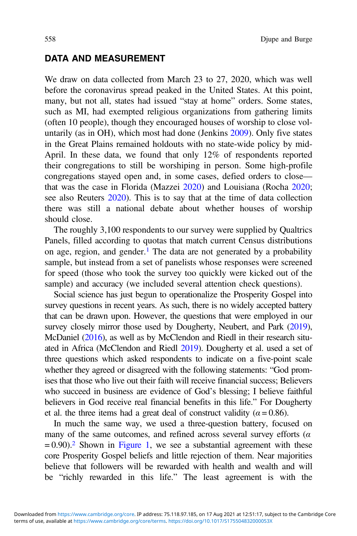# DATA AND MEASUREMENT

We draw on data collected from March 23 to 27, 2020, which was well before the coronavirus spread peaked in the United States. At this point, many, but not all, states had issued "stay at home" orders. Some states, such as MI, had exempted religious organizations from gathering limits (often 10 people), though they encouraged houses of worship to close voluntarily (as in OH), which most had done (Jenkins [2009\)](#page-19-0). Only five states in the Great Plains remained holdouts with no state-wide policy by mid-April. In these data, we found that only 12% of respondents reported their congregations to still be worshiping in person. Some high-profile congregations stayed open and, in some cases, defied orders to close that was the case in Florida (Mazzei [2020\)](#page-20-0) and Louisiana (Rocha [2020](#page-20-0); see also Reuters [2020\)](#page-20-0). This is to say that at the time of data collection there was still a national debate about whether houses of worship should close.

The roughly 3,100 respondents to our survey were supplied by Qualtrics Panels, filled according to quotas that match current Census distributions on age, region, and gender.<sup>[1](#page-18-0)</sup> The data are not generated by a probability sample, but instead from a set of panelists whose responses were screened for speed (those who took the survey too quickly were kicked out of the sample) and accuracy (we included several attention check questions).

Social science has just begun to operationalize the Prosperity Gospel into survey questions in recent years. As such, there is no widely accepted battery that can be drawn upon. However, the questions that were employed in our survey closely mirror those used by Dougherty, Neubert, and Park ([2019\)](#page-19-0), McDaniel ([2016\)](#page-20-0), as well as by McClendon and Riedl in their research situated in Africa (McClendon and Riedl [2019\)](#page-20-0). Dougherty et al. used a set of three questions which asked respondents to indicate on a five-point scale whether they agreed or disagreed with the following statements: "God promises that those who live out their faith will receive financial success; Believers who succeed in business are evidence of God's blessing; I believe faithful believers in God receive real financial benefits in this life." For Dougherty et al. the three items had a great deal of construct validity ( $\alpha$  = 0.86).

In much the same way, we used a three-question battery, focused on many of the same outcomes, and refined across several survey efforts ( $\alpha$ )  $= 0.90$ .<sup>2</sup> Shown in [Figure 1](#page-7-0), we see a substantial agreement with these core Prosperity Gospel beliefs and little rejection of them. Near majorities believe that followers will be rewarded with health and wealth and will be "richly rewarded in this life." The least agreement is with the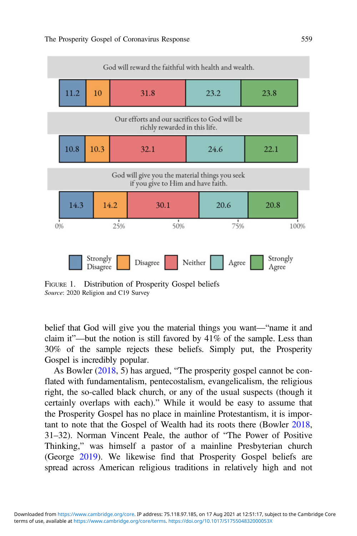<span id="page-7-0"></span>

FIGURE 1. Distribution of Prosperity Gospel beliefs Source: 2020 Religion and C19 Survey

belief that God will give you the material things you want—"name it and claim it"—but the notion is still favored by 41% of the sample. Less than 30% of the sample rejects these beliefs. Simply put, the Prosperity Gospel is incredibly popular.

As Bowler [\(2018](#page-18-0), 5) has argued, "The prosperity gospel cannot be conflated with fundamentalism, pentecostalism, evangelicalism, the religious right, the so-called black church, or any of the usual suspects (though it certainly overlaps with each)." While it would be easy to assume that the Prosperity Gospel has no place in mainline Protestantism, it is important to note that the Gospel of Wealth had its roots there (Bowler [2018](#page-18-0), 31–32). Norman Vincent Peale, the author of "The Power of Positive Thinking," was himself a pastor of a mainline Presbyterian church (George [2019](#page-19-0)). We likewise find that Prosperity Gospel beliefs are spread across American religious traditions in relatively high and not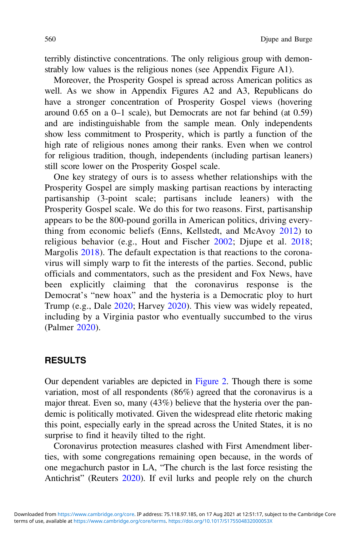terribly distinctive concentrations. The only religious group with demonstrably low values is the religious nones (see Appendix Figure A1).

Moreover, the Prosperity Gospel is spread across American politics as well. As we show in Appendix Figures A2 and A3, Republicans do have a stronger concentration of Prosperity Gospel views (hovering around 0.65 on a 0–1 scale), but Democrats are not far behind (at 0.59) and are indistinguishable from the sample mean. Only independents show less commitment to Prosperity, which is partly a function of the high rate of religious nones among their ranks. Even when we control for religious tradition, though, independents (including partisan leaners) still score lower on the Prosperity Gospel scale.

One key strategy of ours is to assess whether relationships with the Prosperity Gospel are simply masking partisan reactions by interacting partisanship (3-point scale; partisans include leaners) with the Prosperity Gospel scale. We do this for two reasons. First, partisanship appears to be the 800-pound gorilla in American politics, driving everything from economic beliefs (Enns, Kellstedt, and McAvoy [2012\)](#page-19-0) to religious behavior (e.g., Hout and Fischer [2002;](#page-19-0) Djupe et al. [2018](#page-19-0); Margolis [2018\)](#page-20-0). The default expectation is that reactions to the coronavirus will simply warp to fit the interests of the parties. Second, public officials and commentators, such as the president and Fox News, have been explicitly claiming that the coronavirus response is the Democrat's "new hoax" and the hysteria is a Democratic ploy to hurt Trump (e.g., Dale [2020;](#page-19-0) Harvey [2020\)](#page-19-0). This view was widely repeated, including by a Virginia pastor who eventually succumbed to the virus (Palmer [2020](#page-20-0)).

#### RESULTS

Our dependent variables are depicted in [Figure 2.](#page-9-0) Though there is some variation, most of all respondents (86%) agreed that the coronavirus is a major threat. Even so, many (43%) believe that the hysteria over the pandemic is politically motivated. Given the widespread elite rhetoric making this point, especially early in the spread across the United States, it is no surprise to find it heavily tilted to the right.

Coronavirus protection measures clashed with First Amendment liberties, with some congregations remaining open because, in the words of one megachurch pastor in LA, "The church is the last force resisting the Antichrist" (Reuters [2020\)](#page-20-0). If evil lurks and people rely on the church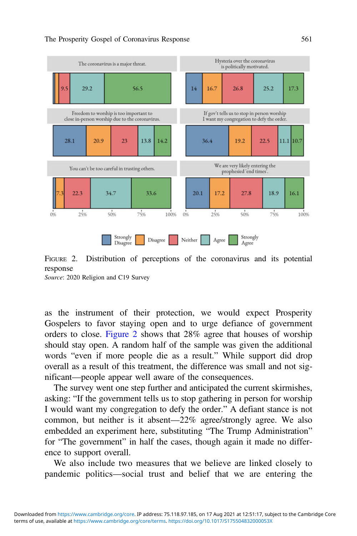#### <span id="page-9-0"></span>The Prosperity Gospel of Coronavirus Response 561



FIGURE 2. Distribution of perceptions of the coronavirus and its potential response Source: 2020 Religion and C19 Survey

as the instrument of their protection, we would expect Prosperity Gospelers to favor staying open and to urge defiance of government orders to close. Figure 2 shows that 28% agree that houses of worship should stay open. A random half of the sample was given the additional words "even if more people die as a result." While support did drop overall as a result of this treatment, the difference was small and not significant—people appear well aware of the consequences.

The survey went one step further and anticipated the current skirmishes, asking: "If the government tells us to stop gathering in person for worship I would want my congregation to defy the order." A defiant stance is not common, but neither is it absent—22% agree/strongly agree. We also embedded an experiment here, substituting "The Trump Administration" for "The government" in half the cases, though again it made no difference to support overall.

We also include two measures that we believe are linked closely to pandemic politics—social trust and belief that we are entering the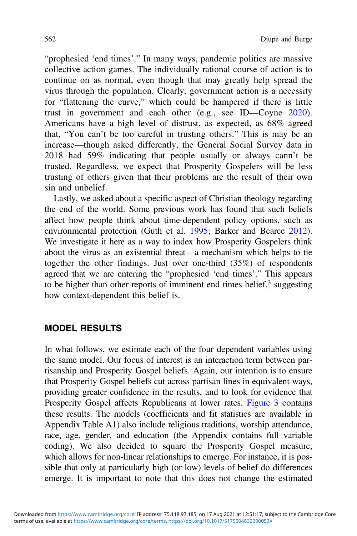"prophesied 'end times'." In many ways, pandemic politics are massive collective action games. The individually rational course of action is to continue on as normal, even though that may greatly help spread the virus through the population. Clearly, government action is a necessity for "flattening the curve," which could be hampered if there is little trust in government and each other (e.g., see ID—Coyne [2020\)](#page-19-0). Americans have a high level of distrust, as expected, as 68% agreed that, "You can't be too careful in trusting others." This is may be an increase—though asked differently, the General Social Survey data in 2018 had 59% indicating that people usually or always cann't be trusted. Regardless, we expect that Prosperity Gospelers will be less trusting of others given that their problems are the result of their own sin and unbelief.

Lastly, we asked about a specific aspect of Christian theology regarding the end of the world. Some previous work has found that such beliefs affect how people think about time-dependent policy options, such as environmental protection (Guth et al. [1995;](#page-19-0) Barker and Bearce [2012\)](#page-18-0). We investigate it here as a way to index how Prosperity Gospelers think about the virus as an existential threat—a mechanism which helps to tie together the other findings. Just over one-third (35%) of respondents agreed that we are entering the "prophesied 'end times'." This appears to be higher than other reports of imminent end times belief, $3$  suggesting how context-dependent this belief is.

# MODEL RESULTS

In what follows, we estimate each of the four dependent variables using the same model. Our focus of interest is an interaction term between partisanship and Prosperity Gospel beliefs. Again, our intention is to ensure that Prosperity Gospel beliefs cut across partisan lines in equivalent ways, providing greater confidence in the results, and to look for evidence that Prosperity Gospel affects Republicans at lower rates. [Figure 3](#page-11-0) contains these results. The models (coefficients and fit statistics are available in Appendix Table A1) also include religious traditions, worship attendance, race, age, gender, and education (the Appendix contains full variable coding). We also decided to square the Prosperity Gospel measure, which allows for non-linear relationships to emerge. For instance, it is possible that only at particularly high (or low) levels of belief do differences emerge. It is important to note that this does not change the estimated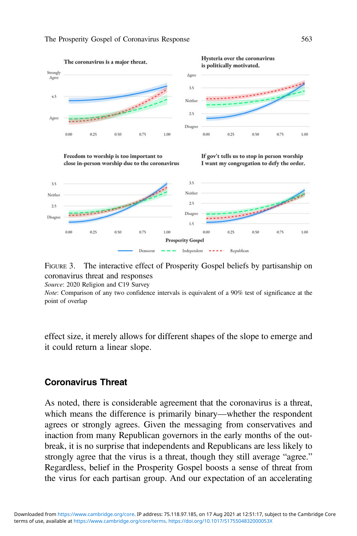<span id="page-11-0"></span>

Freedom to worship is too important to close in-person worship due to the coronavirus





FIGURE 3. The interactive effect of Prosperity Gospel beliefs by partisanship on coronavirus threat and responses

Source: 2020 Religion and C19 Survey

Note: Comparison of any two confidence intervals is equivalent of a 90% test of significance at the point of overlap

effect size, it merely allows for different shapes of the slope to emerge and it could return a linear slope.

### Coronavirus Threat

As noted, there is considerable agreement that the coronavirus is a threat, which means the difference is primarily binary—whether the respondent agrees or strongly agrees. Given the messaging from conservatives and inaction from many Republican governors in the early months of the outbreak, it is no surprise that independents and Republicans are less likely to strongly agree that the virus is a threat, though they still average "agree." Regardless, belief in the Prosperity Gospel boosts a sense of threat from the virus for each partisan group. And our expectation of an accelerating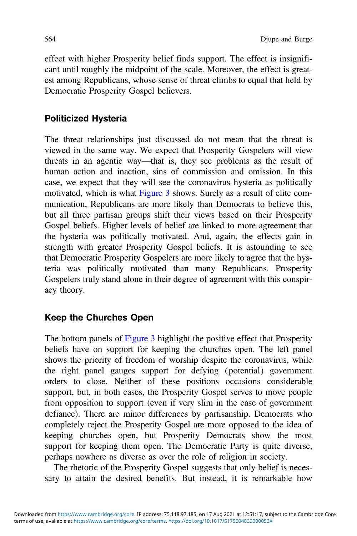effect with higher Prosperity belief finds support. The effect is insignificant until roughly the midpoint of the scale. Moreover, the effect is greatest among Republicans, whose sense of threat climbs to equal that held by Democratic Prosperity Gospel believers.

# Politicized Hysteria

The threat relationships just discussed do not mean that the threat is viewed in the same way. We expect that Prosperity Gospelers will view threats in an agentic way—that is, they see problems as the result of human action and inaction, sins of commission and omission. In this case, we expect that they will see the coronavirus hysteria as politically motivated, which is what [Figure 3](#page-11-0) shows. Surely as a result of elite communication, Republicans are more likely than Democrats to believe this, but all three partisan groups shift their views based on their Prosperity Gospel beliefs. Higher levels of belief are linked to more agreement that the hysteria was politically motivated. And, again, the effects gain in strength with greater Prosperity Gospel beliefs. It is astounding to see that Democratic Prosperity Gospelers are more likely to agree that the hysteria was politically motivated than many Republicans. Prosperity Gospelers truly stand alone in their degree of agreement with this conspiracy theory.

# Keep the Churches Open

The bottom panels of [Figure 3](#page-11-0) highlight the positive effect that Prosperity beliefs have on support for keeping the churches open. The left panel shows the priority of freedom of worship despite the coronavirus, while the right panel gauges support for defying ( potential) government orders to close. Neither of these positions occasions considerable support, but, in both cases, the Prosperity Gospel serves to move people from opposition to support (even if very slim in the case of government defiance). There are minor differences by partisanship. Democrats who completely reject the Prosperity Gospel are more opposed to the idea of keeping churches open, but Prosperity Democrats show the most support for keeping them open. The Democratic Party is quite diverse, perhaps nowhere as diverse as over the role of religion in society.

The rhetoric of the Prosperity Gospel suggests that only belief is necessary to attain the desired benefits. But instead, it is remarkable how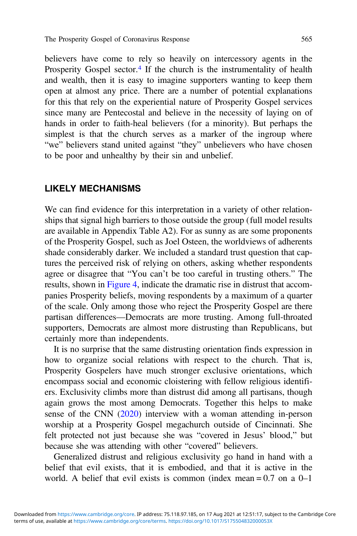believers have come to rely so heavily on intercessory agents in the Prosperity Gospel sector.<sup>[4](#page-18-0)</sup> If the church is the instrumentality of health and wealth, then it is easy to imagine supporters wanting to keep them open at almost any price. There are a number of potential explanations for this that rely on the experiential nature of Prosperity Gospel services since many are Pentecostal and believe in the necessity of laying on of hands in order to faith-heal believers (for a minority). But perhaps the simplest is that the church serves as a marker of the ingroup where "we" believers stand united against "they" unbelievers who have chosen to be poor and unhealthy by their sin and unbelief.

#### LIKELY MECHANISMS

We can find evidence for this interpretation in a variety of other relationships that signal high barriers to those outside the group (full model results are available in Appendix Table A2). For as sunny as are some proponents of the Prosperity Gospel, such as Joel Osteen, the worldviews of adherents shade considerably darker. We included a standard trust question that captures the perceived risk of relying on others, asking whether respondents agree or disagree that "You can't be too careful in trusting others." The results, shown in [Figure 4,](#page-14-0) indicate the dramatic rise in distrust that accompanies Prosperity beliefs, moving respondents by a maximum of a quarter of the scale. Only among those who reject the Prosperity Gospel are there partisan differences—Democrats are more trusting. Among full-throated supporters, Democrats are almost more distrusting than Republicans, but certainly more than independents.

It is no surprise that the same distrusting orientation finds expression in how to organize social relations with respect to the church. That is, Prosperity Gospelers have much stronger exclusive orientations, which encompass social and economic cloistering with fellow religious identifiers. Exclusivity climbs more than distrust did among all partisans, though again grows the most among Democrats. Together this helps to make sense of the CNN ([2020\)](#page-18-0) interview with a woman attending in-person worship at a Prosperity Gospel megachurch outside of Cincinnati. She felt protected not just because she was "covered in Jesus' blood," but because she was attending with other "covered" believers.

Generalized distrust and religious exclusivity go hand in hand with a belief that evil exists, that it is embodied, and that it is active in the world. A belief that evil exists is common (index mean =  $0.7$  on a  $0-1$ )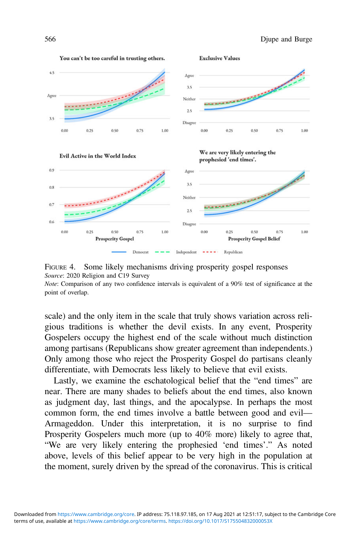<span id="page-14-0"></span>







FIGURE 4. Some likely mechanisms driving prosperity gospel responses Source: 2020 Religion and C19 Survey

Note: Comparison of any two confidence intervals is equivalent of a 90% test of significance at the point of overlap.

scale) and the only item in the scale that truly shows variation across religious traditions is whether the devil exists. In any event, Prosperity Gospelers occupy the highest end of the scale without much distinction among partisans (Republicans show greater agreement than independents.) Only among those who reject the Prosperity Gospel do partisans cleanly differentiate, with Democrats less likely to believe that evil exists.

Lastly, we examine the eschatological belief that the "end times" are near. There are many shades to beliefs about the end times, also known as judgment day, last things, and the apocalypse. In perhaps the most common form, the end times involve a battle between good and evil— Armageddon. Under this interpretation, it is no surprise to find Prosperity Gospelers much more (up to 40% more) likely to agree that, "We are very likely entering the prophesied 'end times'." As noted above, levels of this belief appear to be very high in the population at the moment, surely driven by the spread of the coronavirus. This is critical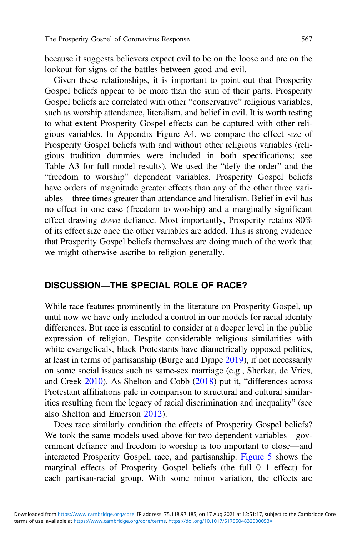because it suggests believers expect evil to be on the loose and are on the lookout for signs of the battles between good and evil.

Given these relationships, it is important to point out that Prosperity Gospel beliefs appear to be more than the sum of their parts. Prosperity Gospel beliefs are correlated with other "conservative" religious variables, such as worship attendance, literalism, and belief in evil. It is worth testing to what extent Prosperity Gospel effects can be captured with other religious variables. In Appendix Figure A4, we compare the effect size of Prosperity Gospel beliefs with and without other religious variables (religious tradition dummies were included in both specifications; see Table A3 for full model results). We used the "defy the order" and the "freedom to worship" dependent variables. Prosperity Gospel beliefs have orders of magnitude greater effects than any of the other three variables—three times greater than attendance and literalism. Belief in evil has no effect in one case (freedom to worship) and a marginally significant effect drawing down defiance. Most importantly, Prosperity retains 80% of its effect size once the other variables are added. This is strong evidence that Prosperity Gospel beliefs themselves are doing much of the work that we might otherwise ascribe to religion generally.

# DISCUSSION—THE SPECIAL ROLE OF RACE?

While race features prominently in the literature on Prosperity Gospel, up until now we have only included a control in our models for racial identity differences. But race is essential to consider at a deeper level in the public expression of religion. Despite considerable religious similarities with white evangelicals, black Protestants have diametrically opposed politics, at least in terms of partisanship (Burge and Djupe [2019\)](#page-18-0), if not necessarily on some social issues such as same-sex marriage (e.g., Sherkat, de Vries, and Creek [2010](#page-21-0)). As Shelton and Cobb ([2018\)](#page-20-0) put it, "differences across Protestant affiliations pale in comparison to structural and cultural similarities resulting from the legacy of racial discrimination and inequality" (see also Shelton and Emerson [2012](#page-21-0)).

Does race similarly condition the effects of Prosperity Gospel beliefs? We took the same models used above for two dependent variables—government defiance and freedom to worship is too important to close—and interacted Prosperity Gospel, race, and partisanship. [Figure 5](#page-16-0) shows the marginal effects of Prosperity Gospel beliefs (the full 0–1 effect) for each partisan-racial group. With some minor variation, the effects are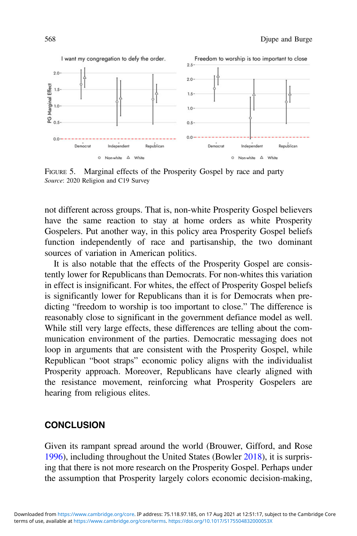<span id="page-16-0"></span>

FIGURE 5. Marginal effects of the Prosperity Gospel by race and party Source: 2020 Religion and C19 Survey

not different across groups. That is, non-white Prosperity Gospel believers have the same reaction to stay at home orders as white Prosperity Gospelers. Put another way, in this policy area Prosperity Gospel beliefs function independently of race and partisanship, the two dominant sources of variation in American politics.

It is also notable that the effects of the Prosperity Gospel are consistently lower for Republicans than Democrats. For non-whites this variation in effect is insignificant. For whites, the effect of Prosperity Gospel beliefs is significantly lower for Republicans than it is for Democrats when predicting "freedom to worship is too important to close." The difference is reasonably close to significant in the government defiance model as well. While still very large effects, these differences are telling about the communication environment of the parties. Democratic messaging does not loop in arguments that are consistent with the Prosperity Gospel, while Republican "boot straps" economic policy aligns with the individualist Prosperity approach. Moreover, Republicans have clearly aligned with the resistance movement, reinforcing what Prosperity Gospelers are hearing from religious elites.

# **CONCLUSION**

Given its rampant spread around the world (Brouwer, Gifford, and Rose [1996](#page-18-0)), including throughout the United States (Bowler [2018\)](#page-18-0), it is surprising that there is not more research on the Prosperity Gospel. Perhaps under the assumption that Prosperity largely colors economic decision-making,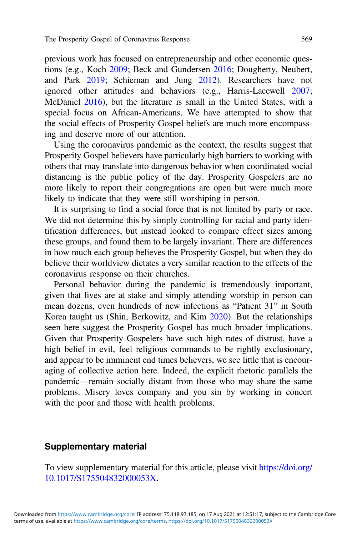previous work has focused on entrepreneurship and other economic questions (e.g., Koch [2009](#page-20-0); Beck and Gundersen [2016](#page-18-0); Dougherty, Neubert, and Park [2019;](#page-19-0) Schieman and Jung [2012](#page-20-0)). Researchers have not ignored other attitudes and behaviors (e.g., Harris-Lacewell [2007](#page-19-0); McDaniel [2016\)](#page-20-0), but the literature is small in the United States, with a special focus on African-Americans. We have attempted to show that the social effects of Prosperity Gospel beliefs are much more encompassing and deserve more of our attention.

Using the coronavirus pandemic as the context, the results suggest that Prosperity Gospel believers have particularly high barriers to working with others that may translate into dangerous behavior when coordinated social distancing is the public policy of the day. Prosperity Gospelers are no more likely to report their congregations are open but were much more likely to indicate that they were still worshiping in person.

It is surprising to find a social force that is not limited by party or race. We did not determine this by simply controlling for racial and party identification differences, but instead looked to compare effect sizes among these groups, and found them to be largely invariant. There are differences in how much each group believes the Prosperity Gospel, but when they do believe their worldview dictates a very similar reaction to the effects of the coronavirus response on their churches.

Personal behavior during the pandemic is tremendously important, given that lives are at stake and simply attending worship in person can mean dozens, even hundreds of new infections as "Patient 31" in South Korea taught us (Shin, Berkowitz, and Kim [2020\)](#page-21-0). But the relationships seen here suggest the Prosperity Gospel has much broader implications. Given that Prosperity Gospelers have such high rates of distrust, have a high belief in evil, feel religious commands to be rightly exclusionary, and appear to be imminent end times believers, we see little that is encouraging of collective action here. Indeed, the explicit rhetoric parallels the pandemic—remain socially distant from those who may share the same problems. Misery loves company and you sin by working in concert with the poor and those with health problems.

#### Supplementary material

To view supplementary material for this article, please visit [https://doi.org/](https://doi.org/10.1017/S175504832000053X) [10.1017/S175504832000053X](https://doi.org/10.1017/S175504832000053X).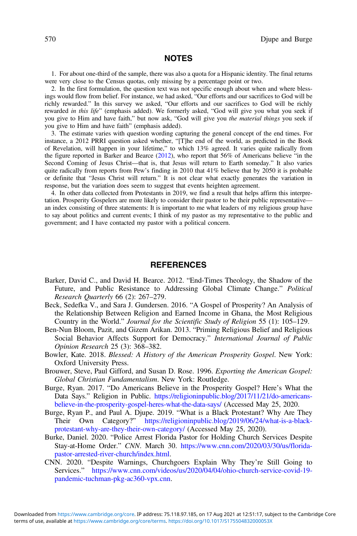#### NOTES

<span id="page-18-0"></span>1. For about one-third of the sample, there was also a quota for a Hispanic identity. The final returns were very close to the Census quotas, only missing by a percentage point or two.

2. In the first formulation, the question text was not specific enough about when and where blessings would flow from belief. For instance, we had asked, "Our efforts and our sacrifices to God will be richly rewarded." In this survey we asked, "Our efforts and our sacrifices to God will be richly rewarded in this life" (emphasis added). We formerly asked, "God will give you what you seek if you give to Him and have faith," but now ask, "God will give you the material things you seek if you give to Him and have faith" (emphasis added).

3. The estimate varies with question wording capturing the general concept of the end times. For instance, a 2012 PRRI question asked whether, "[T]he end of the world, as predicted in the Book of Revelation, will happen in your lifetime," to which 13% agreed. It varies quite radically from the figure reported in Barker and Bearce (2012), who report that 56% of Americans believe "in the Second Coming of Jesus Christ—that is, that Jesus will return to Earth someday." It also varies quite radically from reports from Pew's finding in 2010 that 41% believe that by 2050 it is probable or definite that "Jesus Christ will return." It is not clear what exactly generates the variation in response, but the variation does seem to suggest that events heighten agreement.

4. In other data collected from Protestants in 2019, we find a result that helps affirm this interpretation. Prosperity Gospelers are more likely to consider their pastor to be their public representative an index consisting of three statements: It is important to me what leaders of my religious group have to say about politics and current events; I think of my pastor as my representative to the public and government; and I have contacted my pastor with a political concern.

#### **REFERENCES**

- Barker, David C., and David H. Bearce. 2012. "End-Times Theology, the Shadow of the Future, and Public Resistance to Addressing Global Climate Change." Political Research Quarterly 66 (2): 267–279.
- Beck, Sedefka V., and Sara J. Gundersen. 2016. "A Gospel of Prosperity? An Analysis of the Relationship Between Religion and Earned Income in Ghana, the Most Religious Country in the World." Journal for the Scientific Study of Religion 55 (1): 105–129.
- Ben-Nun Bloom, Pazit, and Gizem Arikan. 2013. "Priming Religious Belief and Religious Social Behavior Affects Support for Democracy." International Journal of Public Opinion Research 25 (3): 368–382.
- Bowler, Kate. 2018. Blessed: A History of the American Prosperity Gospel. New York: Oxford University Press.
- Brouwer, Steve, Paul Gifford, and Susan D. Rose. 1996. Exporting the American Gospel: Global Christian Fundamentalism. New York: Routledge.
- Burge, Ryan. 2017. "Do Americans Believe in the Prosperity Gospel? Here's What the Data Says." Religion in Public. [https://religioninpublic.blog/2017/11/21/do-americans](https://religioninpublic.blog/2017/11/21/do-americans-believe-in-the-prosperity-gospel-heres-what-the-data-says/)[believe-in-the-prosperity-gospel-heres-what-the-data-says/](https://religioninpublic.blog/2017/11/21/do-americans-believe-in-the-prosperity-gospel-heres-what-the-data-says/) (Accessed May 25, 2020.
- Burge, Ryan P., and Paul A. Djupe. 2019. "What is a Black Protestant? Why Are They Their Own Category?" [https://religioninpublic.blog/2019/06/24/what-is-a-black](https://religioninpublic.blog/2019/06/24/what-is-a-black-protestant-why-are-they-their-own-category/)[protestant-why-are-they-their-own-category/](https://religioninpublic.blog/2019/06/24/what-is-a-black-protestant-why-are-they-their-own-category/) (Accessed May 25, 2020).
- Burke, Daniel. 2020. "Police Arrest Florida Pastor for Holding Church Services Despite Stay-at-Home Order." CNN. March 30. [https://www.cnn.com/2020/03/30/us/florida](https://www.cnn.com/2020/03/30/us/florida-pastor-arrested-river-church/index.html)[pastor-arrested-river-church/index.html](https://www.cnn.com/2020/03/30/us/florida-pastor-arrested-river-church/index.html).
- CNN. 2020. "Despite Warnings, Churchgoers Explain Why They're Still Going to Services." [https://www.cnn.com/videos/us/2020/04/04/ohio-church-service-covid-19](https://www.cnn.com/videos/us/2020/04/04/ohio-church-service-covid-19-pandemic-tuchman-pkg-ac360-vpx.cnn) [pandemic-tuchman-pkg-ac360-vpx.cnn](https://www.cnn.com/videos/us/2020/04/04/ohio-church-service-covid-19-pandemic-tuchman-pkg-ac360-vpx.cnn).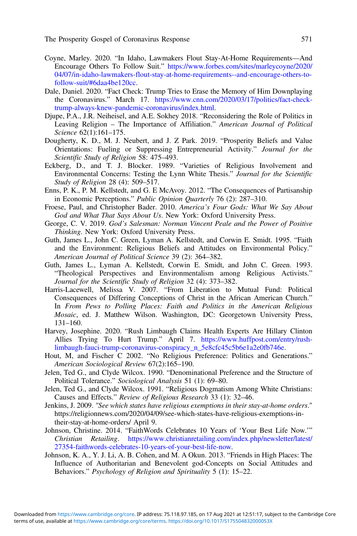- <span id="page-19-0"></span>Coyne, Marley. 2020. "In Idaho, Lawmakers Flout Stay-At-Home Requirements—And Encourage Others To Follow Suit." [https://www.forbes.com/sites/marleycoyne/2020/](https://www.forbes.com/sites/marleycoyne/2020/04/07/in-idaho-lawmakers-flout-stay-at-home-requirements--and-encourage-others-to-follow-suit/%236daa4be120cc) [04/07/in-idaho-lawmakers-flout-stay-at-home-requirements--and-encourage-others-to](https://www.forbes.com/sites/marleycoyne/2020/04/07/in-idaho-lawmakers-flout-stay-at-home-requirements--and-encourage-others-to-follow-suit/%236daa4be120cc)[follow-suit/#6daa4be120cc](https://www.forbes.com/sites/marleycoyne/2020/04/07/in-idaho-lawmakers-flout-stay-at-home-requirements--and-encourage-others-to-follow-suit/%236daa4be120cc).
- Dale, Daniel. 2020. "Fact Check: Trump Tries to Erase the Memory of Him Downplaying the Coronavirus." March 17. [https://www.cnn.com/2020/03/17/politics/fact-check](https://www.cnn.com/2020/03/17/politics/fact-check-trump-always-knew-pandemic-coronavirus/index.html)[trump-always-knew-pandemic-coronavirus/index.html](https://www.cnn.com/2020/03/17/politics/fact-check-trump-always-knew-pandemic-coronavirus/index.html).
- Djupe, P.A., J.R. Neiheisel, and A.E. Sokhey 2018. "Reconsidering the Role of Politics in Leaving Religion – The Importance of Affiliation." American Journal of Political Science 62(1):161–175.
- Dougherty, K. D., M. J. Neubert, and J. Z Park. 2019. "Prosperity Beliefs and Value Orientations: Fueling or Suppressing Entrepreneurial Activity." Journal for the Scientific Study of Religion 58: 475–493.
- Eckberg, D., and T. J. Blocker. 1989. "Varieties of Religious Involvement and Environmental Concerns: Testing the Lynn White Thesis." Journal for the Scientific Study of Religion 28 (4): 509–517.
- Enns, P. K., P. M. Kellstedt, and G. E McAvoy. 2012. "The Consequences of Partisanship in Economic Perceptions." Public Opinion Quarterly 76 (2): 287-310.
- Froese, Paul, and Christopher Bader. 2010. America's Four Gods: What We Say About God and What That Says About Us. New York: Oxford University Press.
- George, C. V. 2019. God's Salesman: Norman Vincent Peale and the Power of Positive Thinking. New York: Oxford University Press.
- Guth, James L., John C. Green, Lyman A. Kellstedt, and Corwin E. Smidt. 1995. "Faith and the Environment: Religious Beliefs and Attitudes on Environmental Policy." American Journal of Political Science 39 (2): 364–382.
- Guth, James L., Lyman A. Kellstedt, Corwin E. Smidt, and John C. Green. 1993. "Theological Perspectives and Environmentalism among Religious Activists." Journal for the Scientific Study of Religion 32 (4): 373–382.
- Harris-Lacewell, Melissa V. 2007. "From Liberation to Mutual Fund: Political Consequences of Differing Conceptions of Christ in the African American Church." In From Pews to Polling Places: Faith and Politics in the American Religious Mosaic, ed. J. Matthew Wilson. Washington, DC: Georgetown University Press, 131–160.
- Harvey, Josephine. 2020. "Rush Limbaugh Claims Health Experts Are Hillary Clinton Allies Trying To Hurt Trump." April 7. [https://www.huffpost.com/entry/rush](https://www.huffpost.com/entry/rush-limbaugh-fauci-trump-coronavirus-conspiracy_n_5e8cfc45c5b6e1a2e0fb746e)[limbaugh-fauci-trump-coronavirus-conspiracy\\_n\\_5e8cfc45c5b6e1a2e0fb746e.](https://www.huffpost.com/entry/rush-limbaugh-fauci-trump-coronavirus-conspiracy_n_5e8cfc45c5b6e1a2e0fb746e)
- Hout, M, and Fischer C 2002. "No Religious Preference: Politics and Generations." American Sociological Review 67(2):165–190.
- Jelen, Ted G., and Clyde Wilcox. 1990. "Denominational Preference and the Structure of Political Tolerance." Sociological Analysis 51 (1): 69–80.
- Jelen, Ted G., and Clyde Wilcox. 1991. "Religious Dogmatism Among White Christians: Causes and Effects." Review of Religious Research 33 (1): 32–46.
- Jenkins, J. 2009. "See which states have religious exemptions in their stay-at-home orders." https://religionnews.com/2020/04/09/see-which-states-have-religious-exemptions-intheir-stay-at-home-orders/ April 9.
- Johnson, Christine. 2014. "FaithWords Celebrates 10 Years of 'Your Best Life Now.'" Christian Retailing. [https://www.christianretailing.com/index.php/newsletter/latest/](https://www.christianretailing.com/index.php/newsletter/latest/27354-faithwords-celebrates-10-years-of-your-best-life-now) [27354-faithwords-celebrates-10-years-of-your-best-life-now.](https://www.christianretailing.com/index.php/newsletter/latest/27354-faithwords-celebrates-10-years-of-your-best-life-now)
- Johnson, K. A., Y. J. Li, A. B. Cohen, and M. A Okun. 2013. "Friends in High Places: The Influence of Authoritarian and Benevolent god-Concepts on Social Attitudes and Behaviors." Psychology of Religion and Spirituality 5 (1): 15–22.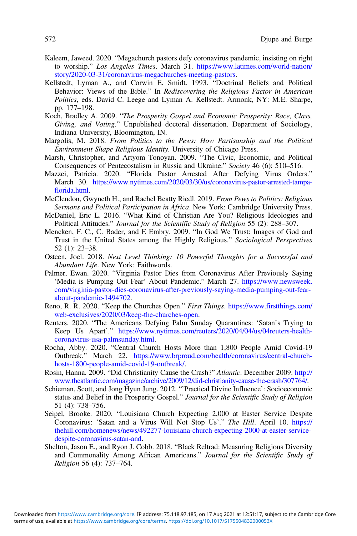- <span id="page-20-0"></span>Kaleem, Jaweed. 2020. "Megachurch pastors defy coronavirus pandemic, insisting on right to worship." Los Angeles Times. March 31. [https://www.latimes.com/world-nation/](https://www.latimes.com/world-nation/story/2020-03-31/coronavirus-megachurches-meeting-pastors) [story/2020-03-31/coronavirus-megachurches-meeting-pastors.](https://www.latimes.com/world-nation/story/2020-03-31/coronavirus-megachurches-meeting-pastors)
- Kellstedt, Lyman A., and Corwin E. Smidt. 1993. "Doctrinal Beliefs and Political Behavior: Views of the Bible." In Rediscovering the Religious Factor in American Politics, eds. David C. Leege and Lyman A. Kellstedt. Armonk, NY: M.E. Sharpe, pp. 177–198.
- Koch, Bradley A. 2009. "The Prosperity Gospel and Economic Prosperity: Race, Class, Giving, and Voting." Unpublished doctoral dissertation. Department of Sociology, Indiana University, Bloomington, IN.
- Margolis, M. 2018. From Politics to the Pews: How Partisanship and the Political Environment Shape Religious Identity. University of Chicago Press.
- Marsh, Christopher, and Artyom Tonoyan. 2009. "The Civic, Economic, and Political Consequences of Pentecostalism in Russia and Ukraine." Society 46 (6): 510–516.
- Mazzei, Patricia. 2020. "Florida Pastor Arrested After Defying Virus Orders." March 30. [https://www.nytimes.com/2020/03/30/us/coronavirus-pastor-arrested-tampa](https://www.nytimes.com/2020/03/30/us/coronavirus-pastor-arrested-tampa-florida.html)[florida.html](https://www.nytimes.com/2020/03/30/us/coronavirus-pastor-arrested-tampa-florida.html).
- McClendon, Gwyneth H., and Rachel Beatty Riedl. 2019. From Pews to Politics: Religious Sermons and Political Participation in Africa. New York: Cambridge University Press.
- McDaniel, Eric L. 2016. "What Kind of Christian Are You? Religious Ideologies and Political Attitudes." Journal for the Scientific Study of Religion 55 (2): 288–307.
- Mencken, F. C., C. Bader, and E Embry. 2009. "In God We Trust: Images of God and Trust in the United States among the Highly Religious." Sociological Perspectives 52 (1): 23–38.
- Osteen, Joel. 2018. Next Level Thinking: 10 Powerful Thoughts for a Successful and Abundant Life. New York: Faithwords.
- Palmer, Ewan. 2020. "Virginia Pastor Dies from Coronavirus After Previously Saying 'Media is Pumping Out Fear' About Pandemic." March 27. [https://www.newsweek.](https://www.newsweek.com/virginia-pastor-dies-coronavirus-after-previously-saying-media-pumping-out-fear-about-pandemic-1494702) [com/virginia-pastor-dies-coronavirus-after-previously-saying-media-pumping-out-fear](https://www.newsweek.com/virginia-pastor-dies-coronavirus-after-previously-saying-media-pumping-out-fear-about-pandemic-1494702)[about-pandemic-1494702.](https://www.newsweek.com/virginia-pastor-dies-coronavirus-after-previously-saying-media-pumping-out-fear-about-pandemic-1494702)
- Reno, R. R. 2020. "Keep the Churches Open." First Things. [https://www.firstthings.com/](https://www.firstthings.com/web-exclusives/2020/03/keep-the-churches-open) [web-exclusives/2020/03/keep-the-churches-open.](https://www.firstthings.com/web-exclusives/2020/03/keep-the-churches-open)
- Reuters. 2020. "The Americans Defying Palm Sunday Quarantines: 'Satan's Trying to Keep Us Apart'." [https://www.nytimes.com/reuters/2020/04/04/us/04reuters-health](https://www.nytimes.com/reuters/2020/04/04/us/04reuters-health-coronavirus-usa-palmsunday.html)[coronavirus-usa-palmsunday.html.](https://www.nytimes.com/reuters/2020/04/04/us/04reuters-health-coronavirus-usa-palmsunday.html)
- Rocha, Abby. 2020. "Central Church Hosts More than 1,800 People Amid Covid-19 Outbreak." March 22. [https://www.brproud.com/health/coronavirus/central-church](https://www.brproud.com/health/coronavirus/central-church-hosts-1800-people-amid-covid-19-outbreak/)[hosts-1800-people-amid-covid-19-outbreak/](https://www.brproud.com/health/coronavirus/central-church-hosts-1800-people-amid-covid-19-outbreak/).
- Rosin, Hanna. 2009. "Did Christianity Cause the Crash?" Atlantic. December 2009. [http://](http://www.theatlantic.com/magazine/archive/2009/12/did-christianity-cause-the-crash/307764/) [www.theatlantic.com/magazine/archive/2009/12/did-christianity-cause-the-crash/307764/.](http://www.theatlantic.com/magazine/archive/2009/12/did-christianity-cause-the-crash/307764/)
- Schieman, Scott, and Jong Hyun Jung. 2012. "'Practical Divine Influence': Socioeconomic status and Belief in the Prosperity Gospel." Journal for the Scientific Study of Religion 51 (4): 738–756.
- Seipel, Brooke. 2020. "Louisiana Church Expecting 2,000 at Easter Service Despite Coronavirus: 'Satan and a Virus Will Not Stop Us'." The Hill. April 10. [https://](https://thehill.com/homenews/news/492277-louisiana-church-expecting-2000-at-easter-service-despite-coronavirus-satan-and) [thehill.com/homenews/news/492277-louisiana-church-expecting-2000-at-easter-service](https://thehill.com/homenews/news/492277-louisiana-church-expecting-2000-at-easter-service-despite-coronavirus-satan-and)[despite-coronavirus-satan-and](https://thehill.com/homenews/news/492277-louisiana-church-expecting-2000-at-easter-service-despite-coronavirus-satan-and).
- Shelton, Jason E., and Ryon J. Cobb. 2018. "Black Reltrad: Measuring Religious Diversity and Commonality Among African Americans." Journal for the Scientific Study of Religion 56 (4): 737–764.